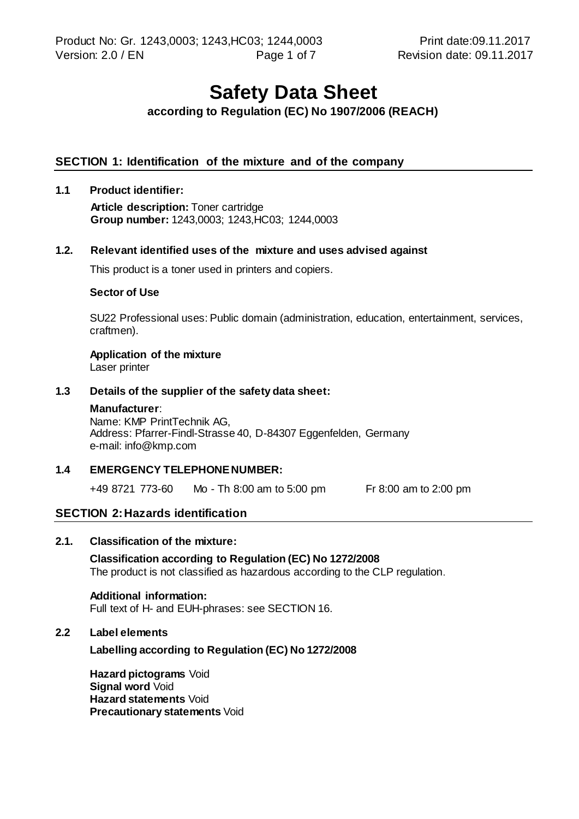# **Safety Data Sheet**

# **according to Regulation (EC) No 1907/2006 (REACH)**

## **SECTION 1: Identification of the mixture and of the company**

#### **1.1 Product identifier:**

**Article description:** Toner cartridge **Group number:** 1243,0003; 1243,HC03; 1244,0003

# **1.2. Relevant identified uses of the mixture and uses advised against**

This product is a toner used in printers and copiers.

#### **Sector of Use**

SU22 Professional uses: Public domain (administration, education, entertainment, services, craftmen).

# **Application of the mixture**

Laser printer

#### **1.3 Details of the supplier of the safety data sheet:**

#### **Manufacturer**:

Name: KMP PrintTechnik AG, Address: Pfarrer-Findl-Strasse 40, D-84307 Eggenfelden, Germany e-mail: info@kmp.com

#### **1.4 EMERGENCY TELEPHONE NUMBER:**

+49 8721 773-60 Mo - Th 8:00 am to 5:00 pm Fr 8:00 am to 2:00 pm

#### **SECTION 2:Hazards identification**

#### **2.1. Classification of the mixture:**

**Classification according to Regulation (EC) No 1272/2008** The product is not classified as hazardous according to the CLP regulation.

#### **Additional information:**

Full text of H- and EUH-phrases: see SECTION 16.

#### **2.2 Label elements**

**Labelling according to Regulation (EC) No 1272/2008**

**Hazard pictograms** Void **Signal word Void Hazard statements** Void **Precautionary statements** Void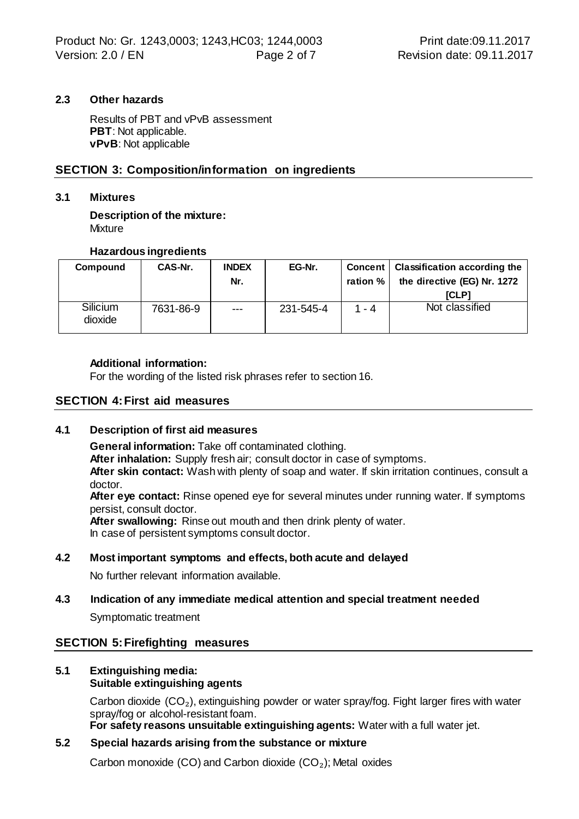#### **2.3 Other hazards**

Results of PBT and vPvB assessment **PBT**: Not applicable. **vPvB**: Not applicable

# **SECTION 3: Composition/information on ingredients**

#### **3.1 Mixtures**

**Description of the mixture: Mixture** 

# **Hazardous ingredients**

| Compound            | CAS-Nr.   | <b>INDEX</b><br>Nr. | EG-Nr.    | ration % | Concent   Classification according the<br>the directive (EG) Nr. 1272<br><b>ICLP1</b> |
|---------------------|-----------|---------------------|-----------|----------|---------------------------------------------------------------------------------------|
| Silicium<br>dioxide | 7631-86-9 | $---$               | 231-545-4 | $1 - 4$  | Not classified                                                                        |

#### **Additional information:**

For the wording of the listed risk phrases refer to section 16.

#### **SECTION 4:First aid measures**

#### **4.1 Description of first aid measures**

**General information:** Take off contaminated clothing.

**After inhalation:** Supply fresh air; consult doctor in case of symptoms.

**After skin contact:** Wash with plenty of soap and water. If skin irritation continues, consult a doctor.

**After eye contact:** Rinse opened eye for several minutes under running water. If symptoms persist, consult doctor.

**After swallowing:** Rinse out mouth and then drink plenty of water. In case of persistent symptoms consult doctor.

#### **4.2 Most important symptoms and effects, both acute and delayed**

No further relevant information available.

# **4.3 Indication of any immediate medical attention and special treatment needed** Symptomatic treatment

# **SECTION 5:Firefighting measures**

# **5.1 Extinguishing media:**

**Suitable extinguishing agents**

Carbon dioxide  $(CO<sub>2</sub>)$ , extinguishing powder or water spray/fog. Fight larger fires with water spray/fog or alcohol-resistant foam.

**For safety reasons unsuitable extinguishing agents:** Water with a full water jet.

# **5.2 Special hazards arising from the substance or mixture**

Carbon monoxide (CO) and Carbon dioxide (CO₂); Metal oxides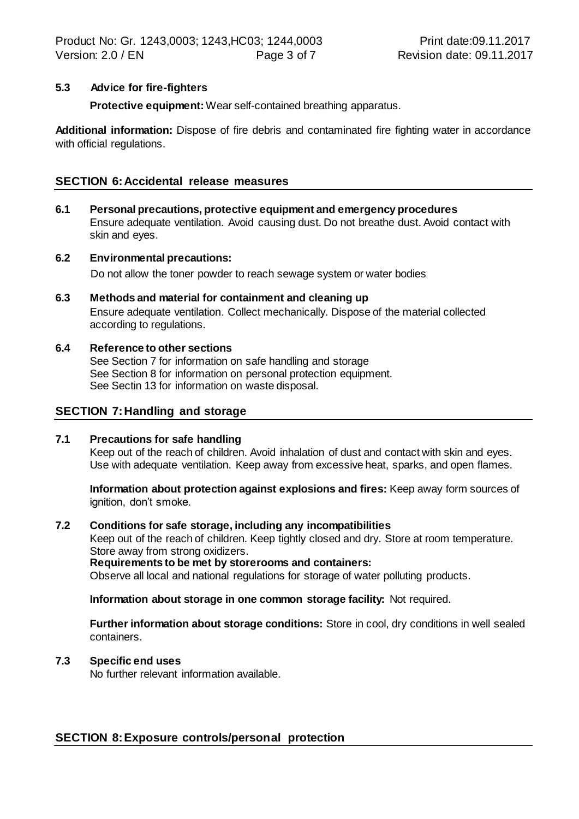# **5.3 Advice for fire-fighters**

**Protective equipment:** Wear self-contained breathing apparatus.

**Additional information:** Dispose of fire debris and contaminated fire fighting water in accordance with official regulations.

# **SECTION 6:Accidental release measures**

- **6.1 Personal precautions, protective equipment and emergency procedures** Ensure adequate ventilation. Avoid causing dust. Do not breathe dust. Avoid contact with skin and eyes.
- **6.2 Environmental precautions:** Do not allow the toner powder to reach sewage system or water bodies
- **6.3 Methods and material for containment and cleaning up** Ensure adequate ventilation. Collect mechanically. Dispose of the material collected according to regulations.
- **6.4 Reference to other sections** See Section 7 for information on safe handling and storage See Section 8 for information on personal protection equipment. See Sectin 13 for information on waste disposal.

#### **SECTION 7:Handling and storage**

#### **7.1 Precautions for safe handling**

Keep out of the reach of children. Avoid inhalation of dust and contact with skin and eyes. Use with adequate ventilation. Keep away from excessive heat, sparks, and open flames.

**Information about protection against explosions and fires:** Keep away form sources of ignition, don't smoke.

#### **7.2 Conditions for safe storage, including any incompatibilities**

Keep out of the reach of children. Keep tightly closed and dry. Store at room temperature. Store away from strong oxidizers.

**Requirements to be met by storerooms and containers:**

Observe all local and national regulations for storage of water polluting products.

**Information about storage in one common storage facility:** Not required.

**Further information about storage conditions:** Store in cool, dry conditions in well sealed containers.

#### **7.3 Specific end uses**

No further relevant information available.

#### **SECTION 8:Exposure controls/personal protection**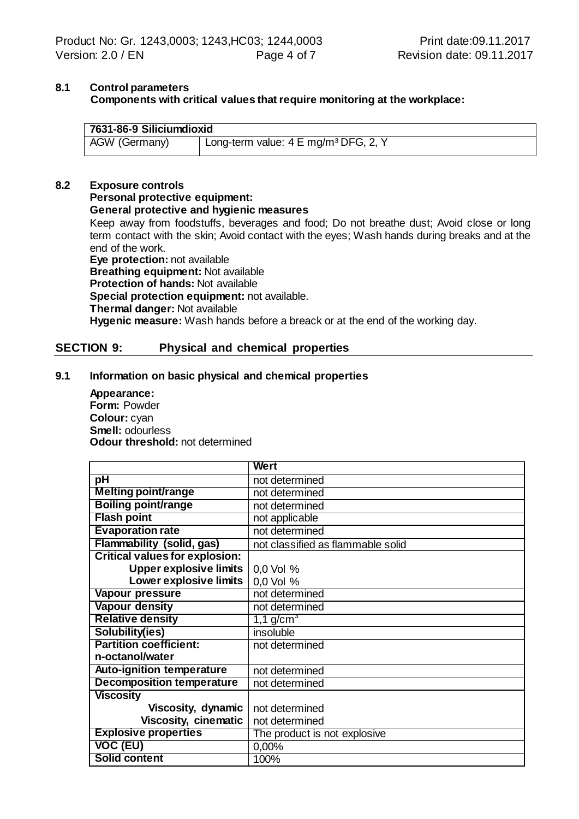# **8.1 Control parameters Components with critical values that require monitoring at the workplace:**

| 7631-86-9 Siliciumdioxid |                                                  |  |  |  |  |
|--------------------------|--------------------------------------------------|--|--|--|--|
| AGW (Germany)            | Long-term value: 4 E mg/m <sup>3</sup> DFG, 2, Y |  |  |  |  |

#### **8.2 Exposure controls Personal protective equipment: General protective and hygienic measures** Keep away from foodstuffs, beverages and food; Do not breathe dust; Avoid close or long term contact with the skin; Avoid contact with the eyes; Wash hands during breaks and at the end of the work. **Eye protection:** not available **Breathing equipment:** Not available **Protection of hands:** Not available **Special protection equipment:** not available. **Thermal danger:** Not available

**Hygenic measure:** Wash hands before a breack or at the end of the working day.

# **SECTION 9: Physical and chemical properties**

#### **9.1 Information on basic physical and chemical properties**

**Appearance: Form:** Powder **Colour:** cyan **Smell:** odourless **Odour threshold:** not determined

|                                       | Wert                              |
|---------------------------------------|-----------------------------------|
| pH                                    | not determined                    |
| <b>Melting point/range</b>            | not determined                    |
| <b>Boiling point/range</b>            | not determined                    |
| <b>Flash point</b>                    | not applicable                    |
| <b>Evaporation rate</b>               | not determined                    |
| <b>Flammability (solid, gas)</b>      | not classified as flammable solid |
| <b>Critical values for explosion:</b> |                                   |
| <b>Upper explosive limits</b>         | 0,0 Vol %                         |
| Lower explosive limits                | 0.0 Vol %                         |
| Vapour pressure                       | not determined                    |
| <b>Vapour density</b>                 | not determined                    |
| <b>Relative density</b>               | $1,1$ g/cm <sup>3</sup>           |
| Solubility(ies)                       | insoluble                         |
| <b>Partition coefficient:</b>         | not determined                    |
| n-octanol/water                       |                                   |
| <b>Auto-ignition temperature</b>      | not determined                    |
| <b>Decomposition temperature</b>      | not determined                    |
| <b>Viscosity</b>                      |                                   |
| Viscosity, dynamic                    | not determined                    |
| <b>Viscosity, cinematic</b>           | not determined                    |
| <b>Explosive properties</b>           | The product is not explosive      |
| <b>VOC (EU)</b>                       | 0,00%                             |
| <b>Solid content</b>                  | 100%                              |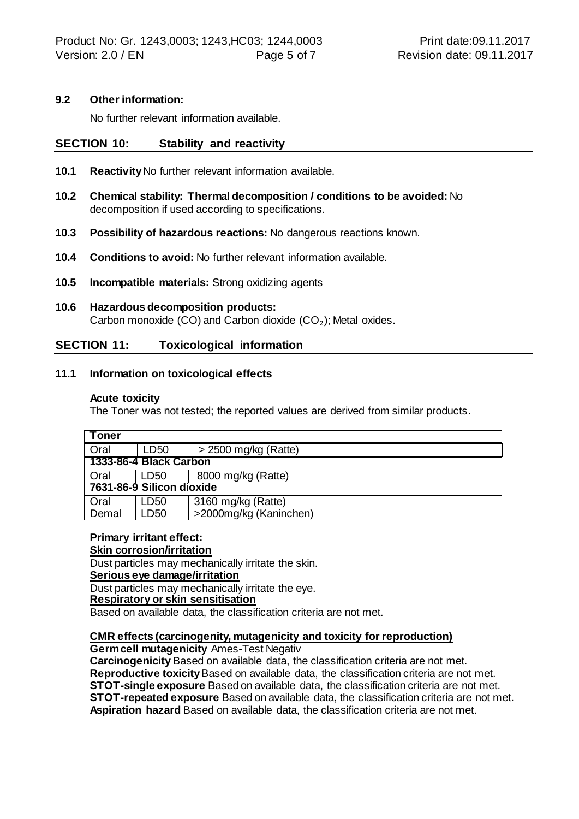#### **9.2 Other information:**

No further relevant information available.

# **SECTION 10: Stability and reactivity**

- **10.1 Reactivity** No further relevant information available.
- **10.2 Chemical stability: Thermal decomposition / conditions to be avoided:** No decomposition if used according to specifications.
- **10.3 Possibility of hazardous reactions:** No dangerous reactions known.
- **10.4 Conditions to avoid:** No further relevant information available.
- **10.5 Incompatible materials:** Strong oxidizing agents
- **10.6 Hazardous decomposition products:** Carbon monoxide (CO) and Carbon dioxide (CO₂); Metal oxides.

# **SECTION 11: Toxicological information**

#### **11.1 Information on toxicological effects**

#### **Acute toxicity**

The Toner was not tested; the reported values are derived from similar products.

| Toner                     |                  |                        |  |  |  |
|---------------------------|------------------|------------------------|--|--|--|
| Oral                      | LD <sub>50</sub> | $>$ 2500 mg/kg (Ratte) |  |  |  |
| 1333-86-4 Black Carbon    |                  |                        |  |  |  |
| Oral                      | LD50             | 8000 mg/kg (Ratte)     |  |  |  |
| 7631-86-9 Silicon dioxide |                  |                        |  |  |  |
| Oral                      | LD50             | 3160 mg/kg (Ratte)     |  |  |  |
| Demal                     | LD50             | >2000mg/kg (Kaninchen) |  |  |  |

#### **Primary irritant effect:**

#### **Skin corrosion/irritation**

Dust particles may mechanically irritate the skin.

#### **Serious eye damage/irritation**

Dust particles may mechanically irritate the eye.

#### **Respiratory or skin sensitisation**

Based on available data, the classification criteria are not met.

#### **CMR effects (carcinogenity, mutagenicity and toxicity for reproduction)**

**Germ cell mutagenicity** Ames-Test Negativ

**Carcinogenicity** Based on available data, the classification criteria are not met. **Reproductive toxicity** Based on available data, the classification criteria are not met. **STOT-single exposure** Based on available data, the classification criteria are not met. **STOT-repeated exposure** Based on available data, the classification criteria are not met. **Aspiration hazard** Based on available data, the classification criteria are not met.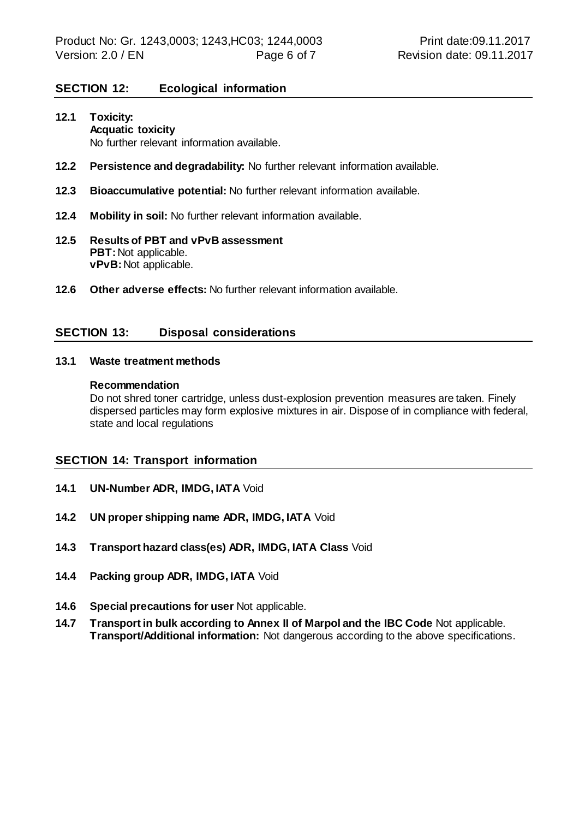# **SECTION 12: Ecological information**

- **12.1 Toxicity: Acquatic toxicity** No further relevant information available.
- **12.2 Persistence and degradability:** No further relevant information available.
- **12.3 Bioaccumulative potential:** No further relevant information available.
- **12.4 Mobility in soil:** No further relevant information available.
- **12.5 Results of PBT and vPvB assessment PBT: Not applicable. vPvB:** Not applicable.
- **12.6 Other adverse effects:** No further relevant information available.

#### **SECTION 13: Disposal considerations**

#### **13.1 Waste treatment methods**

#### **Recommendation**

Do not shred toner cartridge, unless dust-explosion prevention measures are taken. Finely dispersed particles may form explosive mixtures in air. Dispose of in compliance with federal, state and local regulations

#### **SECTION 14: Transport information**

- **14.1 UN-Number ADR, IMDG, IATA** Void
- **14.2 UN proper shipping name ADR, IMDG, IATA** Void
- **14.3 Transport hazard class(es) ADR, IMDG, IATA Class** Void
- **14.4 Packing group ADR, IMDG, IATA** Void
- **14.6 Special precautions for user** Not applicable.
- **14.7 Transport in bulk according to Annex II of Marpol and the IBC Code** Not applicable. **Transport/Additional information:** Not dangerous according to the above specifications.